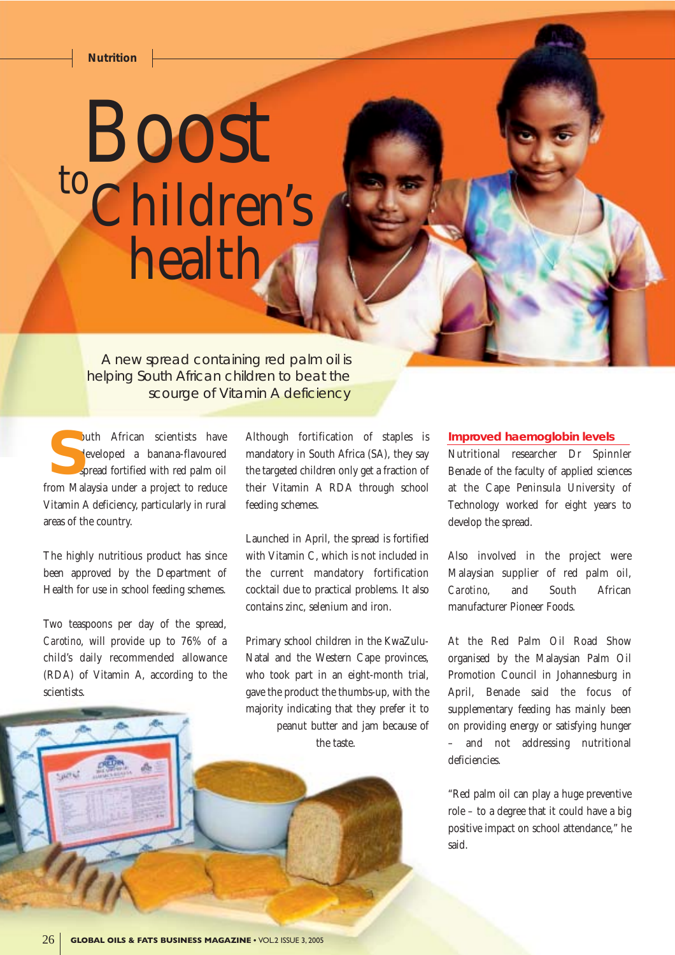## *Nutrition*

## Boost toChildren's health.

A new spread containing red palm oil is helping South African children to beat the scourge of Vitamin A deficiency

outh African scientists have developed a banana-flavoured spread fortified with red palm oil outh African scientists have<br>developed a banana-flavoured<br>spread fortified with red palm oil<br>from Malaysia under a project to reduce Vitamin A deficiency, particularly in rural areas of the country.

The highly nutritious product has since been approved by the Department of Health for use in school feeding schemes.

Two teaspoons per day of the spread, *Carotino*, will provide up to 76% of a child's daily recommended allowance (RDA) of Vitamin A, according to the scientists.

Although fortification of staples is mandatory in South Africa (SA), they say the targeted children only get a fraction of their Vitamin A RDA through school feeding schemes.

Launched in April, the spread is fortified with Vitamin C, which is not included in the current mandatory fortification cocktail due to practical problems. It also contains zinc, selenium and iron.

Primary school children in the KwaZulu-Natal and the Western Cape provinces, who took part in an eight-month trial, gave the product the thumbs-up, with the majority indicating that they prefer it to peanut butter and jam because of the taste.

## **Improved haemoglobin levels**

Nutritional researcher Dr Spinnler Benade of the faculty of applied sciences at the Cape Peninsula University of Technology worked for eight years to develop the spread.

Also involved in the project were Malaysian supplier of red palm oil, *Carotino*, and South African manufacturer Pioneer Foods.

At the Red Palm Oil Road Show organised by the Malaysian Palm Oil Promotion Council in Johannesburg in April, Benade said the focus of supplementary feeding has mainly been on providing energy or satisfying hunger – and not addressing nutritional deficiencies.

"Red palm oil can play a huge preventive role – to a degree that it could have a big positive impact on school attendance," he said.